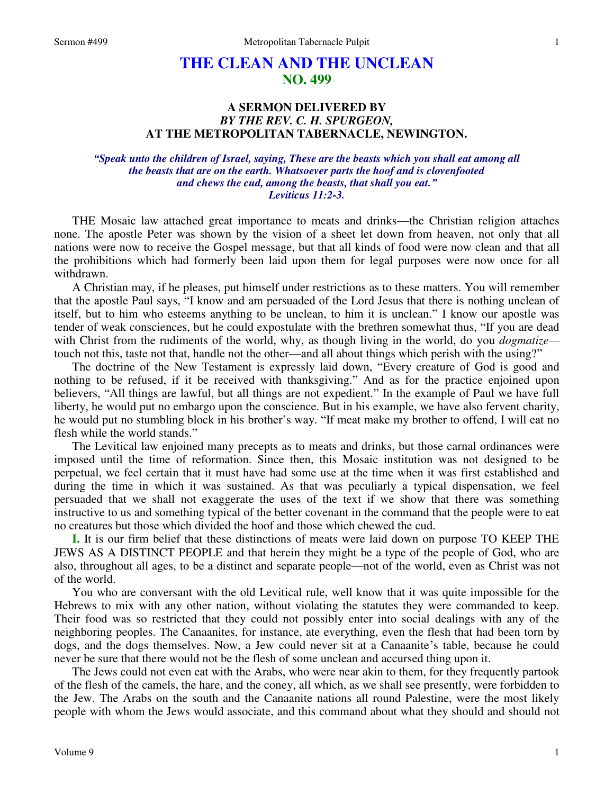# **THE CLEAN AND THE UNCLEAN NO. 499**

## **A SERMON DELIVERED BY**  *BY THE REV. C. H. SPURGEON,*  **AT THE METROPOLITAN TABERNACLE, NEWINGTON.**

*"Speak unto the children of Israel, saying, These are the beasts which you shall eat among all the beasts that are on the earth. Whatsoever parts the hoof and is clovenfooted and chews the cud, among the beasts, that shall you eat." Leviticus 11:2-3.* 

THE Mosaic law attached great importance to meats and drinks—the Christian religion attaches none. The apostle Peter was shown by the vision of a sheet let down from heaven, not only that all nations were now to receive the Gospel message, but that all kinds of food were now clean and that all the prohibitions which had formerly been laid upon them for legal purposes were now once for all withdrawn.

A Christian may, if he pleases, put himself under restrictions as to these matters. You will remember that the apostle Paul says, "I know and am persuaded of the Lord Jesus that there is nothing unclean of itself, but to him who esteems anything to be unclean, to him it is unclean." I know our apostle was tender of weak consciences, but he could expostulate with the brethren somewhat thus, "If you are dead with Christ from the rudiments of the world, why, as though living in the world, do you *dogmatize* touch not this, taste not that, handle not the other—and all about things which perish with the using?"

The doctrine of the New Testament is expressly laid down, "Every creature of God is good and nothing to be refused, if it be received with thanksgiving." And as for the practice enjoined upon believers, "All things are lawful, but all things are not expedient." In the example of Paul we have full liberty, he would put no embargo upon the conscience. But in his example, we have also fervent charity, he would put no stumbling block in his brother's way. "If meat make my brother to offend, I will eat no flesh while the world stands."

The Levitical law enjoined many precepts as to meats and drinks, but those carnal ordinances were imposed until the time of reformation. Since then, this Mosaic institution was not designed to be perpetual, we feel certain that it must have had some use at the time when it was first established and during the time in which it was sustained. As that was peculiarly a typical dispensation, we feel persuaded that we shall not exaggerate the uses of the text if we show that there was something instructive to us and something typical of the better covenant in the command that the people were to eat no creatures but those which divided the hoof and those which chewed the cud.

**I.** It is our firm belief that these distinctions of meats were laid down on purpose TO KEEP THE JEWS AS A DISTINCT PEOPLE and that herein they might be a type of the people of God, who are also, throughout all ages, to be a distinct and separate people—not of the world, even as Christ was not of the world.

You who are conversant with the old Levitical rule, well know that it was quite impossible for the Hebrews to mix with any other nation, without violating the statutes they were commanded to keep. Their food was so restricted that they could not possibly enter into social dealings with any of the neighboring peoples. The Canaanites, for instance, ate everything, even the flesh that had been torn by dogs, and the dogs themselves. Now, a Jew could never sit at a Canaanite's table, because he could never be sure that there would not be the flesh of some unclean and accursed thing upon it.

The Jews could not even eat with the Arabs, who were near akin to them, for they frequently partook of the flesh of the camels, the hare, and the coney, all which, as we shall see presently, were forbidden to the Jew. The Arabs on the south and the Canaanite nations all round Palestine, were the most likely people with whom the Jews would associate, and this command about what they should and should not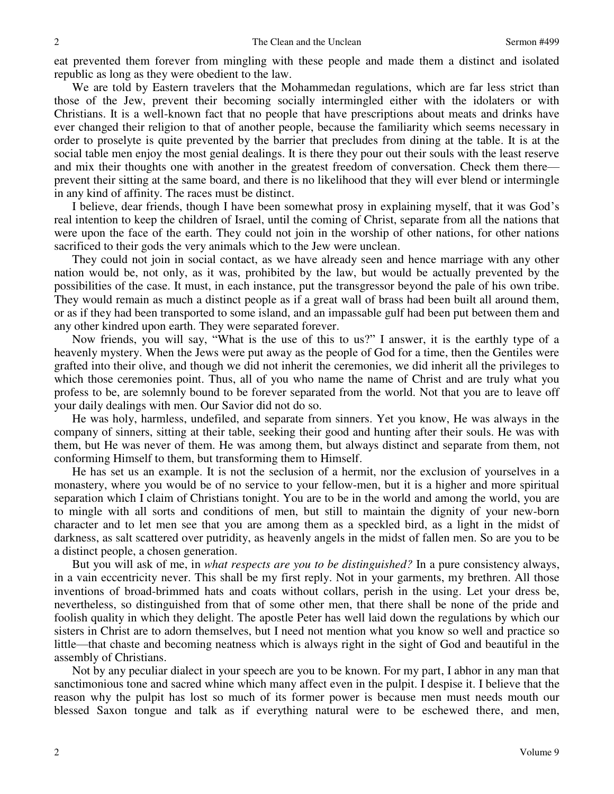eat prevented them forever from mingling with these people and made them a distinct and isolated republic as long as they were obedient to the law.

We are told by Eastern travelers that the Mohammedan regulations, which are far less strict than those of the Jew, prevent their becoming socially intermingled either with the idolaters or with Christians. It is a well-known fact that no people that have prescriptions about meats and drinks have ever changed their religion to that of another people, because the familiarity which seems necessary in order to proselyte is quite prevented by the barrier that precludes from dining at the table. It is at the social table men enjoy the most genial dealings. It is there they pour out their souls with the least reserve and mix their thoughts one with another in the greatest freedom of conversation. Check them there prevent their sitting at the same board, and there is no likelihood that they will ever blend or intermingle in any kind of affinity. The races must be distinct.

I believe, dear friends, though I have been somewhat prosy in explaining myself, that it was God's real intention to keep the children of Israel, until the coming of Christ, separate from all the nations that were upon the face of the earth. They could not join in the worship of other nations, for other nations sacrificed to their gods the very animals which to the Jew were unclean.

They could not join in social contact, as we have already seen and hence marriage with any other nation would be, not only, as it was, prohibited by the law, but would be actually prevented by the possibilities of the case. It must, in each instance, put the transgressor beyond the pale of his own tribe. They would remain as much a distinct people as if a great wall of brass had been built all around them, or as if they had been transported to some island, and an impassable gulf had been put between them and any other kindred upon earth. They were separated forever.

Now friends, you will say, "What is the use of this to us?" I answer, it is the earthly type of a heavenly mystery. When the Jews were put away as the people of God for a time, then the Gentiles were grafted into their olive, and though we did not inherit the ceremonies, we did inherit all the privileges to which those ceremonies point. Thus, all of you who name the name of Christ and are truly what you profess to be, are solemnly bound to be forever separated from the world. Not that you are to leave off your daily dealings with men. Our Savior did not do so.

He was holy, harmless, undefiled, and separate from sinners. Yet you know, He was always in the company of sinners, sitting at their table, seeking their good and hunting after their souls. He was with them, but He was never of them. He was among them, but always distinct and separate from them, not conforming Himself to them, but transforming them to Himself.

He has set us an example. It is not the seclusion of a hermit, nor the exclusion of yourselves in a monastery, where you would be of no service to your fellow-men, but it is a higher and more spiritual separation which I claim of Christians tonight. You are to be in the world and among the world, you are to mingle with all sorts and conditions of men, but still to maintain the dignity of your new-born character and to let men see that you are among them as a speckled bird, as a light in the midst of darkness, as salt scattered over putridity, as heavenly angels in the midst of fallen men. So are you to be a distinct people, a chosen generation.

But you will ask of me, in *what respects are you to be distinguished?* In a pure consistency always, in a vain eccentricity never. This shall be my first reply. Not in your garments, my brethren. All those inventions of broad-brimmed hats and coats without collars, perish in the using. Let your dress be, nevertheless, so distinguished from that of some other men, that there shall be none of the pride and foolish quality in which they delight. The apostle Peter has well laid down the regulations by which our sisters in Christ are to adorn themselves, but I need not mention what you know so well and practice so little—that chaste and becoming neatness which is always right in the sight of God and beautiful in the assembly of Christians.

Not by any peculiar dialect in your speech are you to be known. For my part, I abhor in any man that sanctimonious tone and sacred whine which many affect even in the pulpit. I despise it. I believe that the reason why the pulpit has lost so much of its former power is because men must needs mouth our blessed Saxon tongue and talk as if everything natural were to be eschewed there, and men,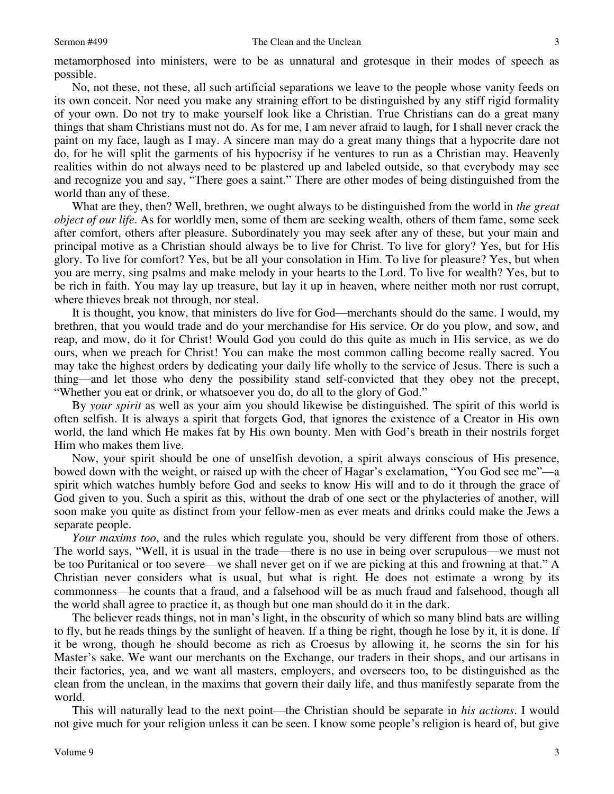metamorphosed into ministers, were to be as unnatural and grotesque in their modes of speech as possible.

No, not these, not these, all such artificial separations we leave to the people whose vanity feeds on its own conceit. Nor need you make any straining effort to be distinguished by any stiff rigid formality of your own. Do not try to make yourself look like a Christian. True Christians can do a great many things that sham Christians must not do. As for me, I am never afraid to laugh, for I shall never crack the paint on my face, laugh as I may. A sincere man may do a great many things that a hypocrite dare not do, for he will split the garments of his hypocrisy if he ventures to run as a Christian may. Heavenly realities within do not always need to be plastered up and labeled outside, so that everybody may see and recognize you and say, "There goes a saint." There are other modes of being distinguished from the world than any of these.

What are they, then? Well, brethren, we ought always to be distinguished from the world in *the great object of our life*. As for worldly men, some of them are seeking wealth, others of them fame, some seek after comfort, others after pleasure. Subordinately you may seek after any of these, but your main and principal motive as a Christian should always be to live for Christ. To live for glory? Yes, but for His glory. To live for comfort? Yes, but be all your consolation in Him. To live for pleasure? Yes, but when you are merry, sing psalms and make melody in your hearts to the Lord. To live for wealth? Yes, but to be rich in faith. You may lay up treasure, but lay it up in heaven, where neither moth nor rust corrupt, where thieves break not through, nor steal.

It is thought, you know, that ministers do live for God—merchants should do the same. I would, my brethren, that you would trade and do your merchandise for His service. Or do you plow, and sow, and reap, and mow, do it for Christ! Would God you could do this quite as much in His service, as we do ours, when we preach for Christ! You can make the most common calling become really sacred. You may take the highest orders by dedicating your daily life wholly to the service of Jesus. There is such a thing—and let those who deny the possibility stand self-convicted that they obey not the precept, "Whether you eat or drink, or whatsoever you do, do all to the glory of God."

By *your spirit* as well as your aim you should likewise be distinguished. The spirit of this world is often selfish. It is always a spirit that forgets God, that ignores the existence of a Creator in His own world, the land which He makes fat by His own bounty. Men with God's breath in their nostrils forget Him who makes them live.

Now, your spirit should be one of unselfish devotion, a spirit always conscious of His presence, bowed down with the weight, or raised up with the cheer of Hagar's exclamation, "You God see me"—a spirit which watches humbly before God and seeks to know His will and to do it through the grace of God given to you. Such a spirit as this, without the drab of one sect or the phylacteries of another, will soon make you quite as distinct from your fellow-men as ever meats and drinks could make the Jews a separate people.

*Your maxims too*, and the rules which regulate you, should be very different from those of others. The world says, "Well, it is usual in the trade—there is no use in being over scrupulous—we must not be too Puritanical or too severe—we shall never get on if we are picking at this and frowning at that." A Christian never considers what is usual, but what is right*.* He does not estimate a wrong by its commonness—he counts that a fraud, and a falsehood will be as much fraud and falsehood, though all the world shall agree to practice it, as though but one man should do it in the dark.

The believer reads things, not in man's light, in the obscurity of which so many blind bats are willing to fly, but he reads things by the sunlight of heaven. If a thing be right, though he lose by it, it is done. If it be wrong, though he should become as rich as Croesus by allowing it, he scorns the sin for his Master's sake. We want our merchants on the Exchange, our traders in their shops, and our artisans in their factories, yea, and we want all masters, employers, and overseers too, to be distinguished as the clean from the unclean, in the maxims that govern their daily life, and thus manifestly separate from the world.

This will naturally lead to the next point—the Christian should be separate in *his actions*. I would not give much for your religion unless it can be seen. I know some people's religion is heard of, but give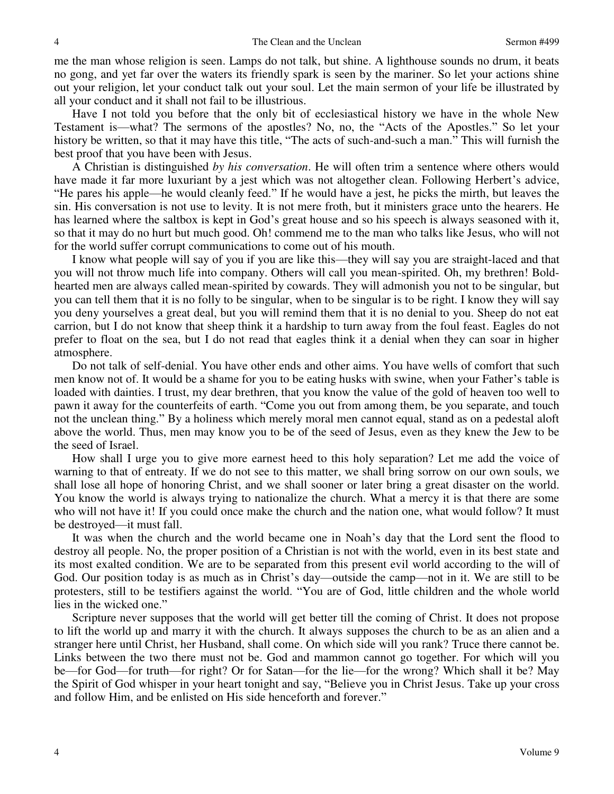me the man whose religion is seen. Lamps do not talk, but shine. A lighthouse sounds no drum, it beats no gong, and yet far over the waters its friendly spark is seen by the mariner. So let your actions shine out your religion, let your conduct talk out your soul. Let the main sermon of your life be illustrated by all your conduct and it shall not fail to be illustrious.

Have I not told you before that the only bit of ecclesiastical history we have in the whole New Testament is—what? The sermons of the apostles? No, no, the "Acts of the Apostles." So let your history be written, so that it may have this title, "The acts of such-and-such a man." This will furnish the best proof that you have been with Jesus.

A Christian is distinguished *by his conversation*. He will often trim a sentence where others would have made it far more luxuriant by a jest which was not altogether clean. Following Herbert's advice, "He pares his apple—he would cleanly feed." If he would have a jest, he picks the mirth, but leaves the sin. His conversation is not use to levity. It is not mere froth, but it ministers grace unto the hearers. He has learned where the saltbox is kept in God's great house and so his speech is always seasoned with it, so that it may do no hurt but much good. Oh! commend me to the man who talks like Jesus, who will not for the world suffer corrupt communications to come out of his mouth.

I know what people will say of you if you are like this—they will say you are straight-laced and that you will not throw much life into company. Others will call you mean-spirited. Oh, my brethren! Boldhearted men are always called mean-spirited by cowards. They will admonish you not to be singular, but you can tell them that it is no folly to be singular, when to be singular is to be right. I know they will say you deny yourselves a great deal, but you will remind them that it is no denial to you. Sheep do not eat carrion, but I do not know that sheep think it a hardship to turn away from the foul feast. Eagles do not prefer to float on the sea, but I do not read that eagles think it a denial when they can soar in higher atmosphere.

Do not talk of self-denial. You have other ends and other aims. You have wells of comfort that such men know not of. It would be a shame for you to be eating husks with swine, when your Father's table is loaded with dainties. I trust, my dear brethren, that you know the value of the gold of heaven too well to pawn it away for the counterfeits of earth. "Come you out from among them, be you separate, and touch not the unclean thing." By a holiness which merely moral men cannot equal, stand as on a pedestal aloft above the world. Thus, men may know you to be of the seed of Jesus, even as they knew the Jew to be the seed of Israel.

How shall I urge you to give more earnest heed to this holy separation? Let me add the voice of warning to that of entreaty. If we do not see to this matter, we shall bring sorrow on our own souls, we shall lose all hope of honoring Christ, and we shall sooner or later bring a great disaster on the world. You know the world is always trying to nationalize the church. What a mercy it is that there are some who will not have it! If you could once make the church and the nation one, what would follow? It must be destroyed—it must fall.

It was when the church and the world became one in Noah's day that the Lord sent the flood to destroy all people. No, the proper position of a Christian is not with the world, even in its best state and its most exalted condition. We are to be separated from this present evil world according to the will of God. Our position today is as much as in Christ's day—outside the camp—not in it. We are still to be protesters, still to be testifiers against the world. "You are of God, little children and the whole world lies in the wicked one."

Scripture never supposes that the world will get better till the coming of Christ. It does not propose to lift the world up and marry it with the church. It always supposes the church to be as an alien and a stranger here until Christ, her Husband, shall come. On which side will you rank? Truce there cannot be. Links between the two there must not be. God and mammon cannot go together. For which will you be—for God—for truth—for right? Or for Satan—for the lie—for the wrong? Which shall it be? May the Spirit of God whisper in your heart tonight and say, "Believe you in Christ Jesus. Take up your cross and follow Him, and be enlisted on His side henceforth and forever."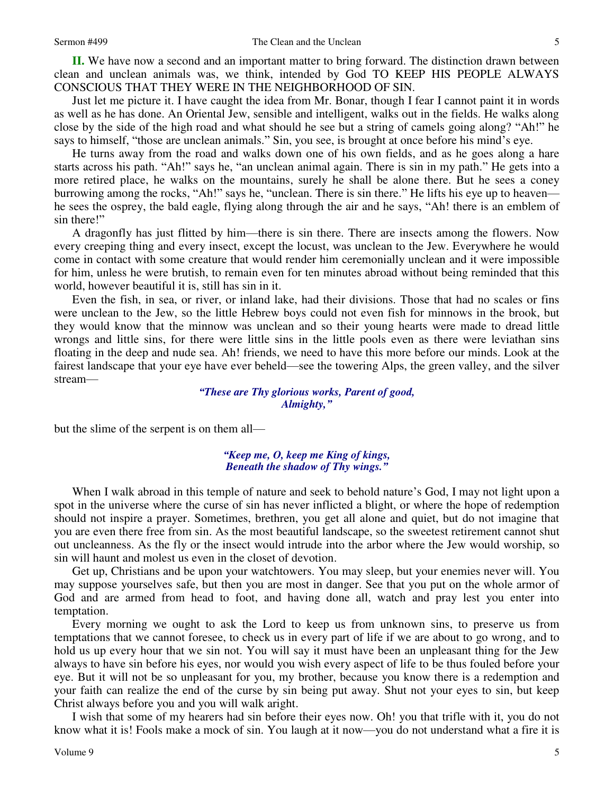**II.** We have now a second and an important matter to bring forward. The distinction drawn between clean and unclean animals was, we think, intended by God TO KEEP HIS PEOPLE ALWAYS CONSCIOUS THAT THEY WERE IN THE NEIGHBORHOOD OF SIN.

Just let me picture it. I have caught the idea from Mr. Bonar, though I fear I cannot paint it in words as well as he has done. An Oriental Jew, sensible and intelligent, walks out in the fields. He walks along close by the side of the high road and what should he see but a string of camels going along? "Ah!" he says to himself, "those are unclean animals." Sin, you see, is brought at once before his mind's eye.

He turns away from the road and walks down one of his own fields, and as he goes along a hare starts across his path. "Ah!" says he, "an unclean animal again. There is sin in my path." He gets into a more retired place, he walks on the mountains, surely he shall be alone there. But he sees a coney burrowing among the rocks, "Ah!" says he, "unclean. There is sin there." He lifts his eye up to heaven he sees the osprey, the bald eagle, flying along through the air and he says, "Ah! there is an emblem of sin there!"

A dragonfly has just flitted by him—there is sin there. There are insects among the flowers. Now every creeping thing and every insect, except the locust, was unclean to the Jew. Everywhere he would come in contact with some creature that would render him ceremonially unclean and it were impossible for him, unless he were brutish, to remain even for ten minutes abroad without being reminded that this world, however beautiful it is, still has sin in it.

Even the fish, in sea, or river, or inland lake, had their divisions. Those that had no scales or fins were unclean to the Jew, so the little Hebrew boys could not even fish for minnows in the brook, but they would know that the minnow was unclean and so their young hearts were made to dread little wrongs and little sins, for there were little sins in the little pools even as there were leviathan sins floating in the deep and nude sea. Ah! friends, we need to have this more before our minds. Look at the fairest landscape that your eye have ever beheld—see the towering Alps, the green valley, and the silver stream—

### *"These are Thy glorious works, Parent of good, Almighty,"*

but the slime of the serpent is on them all—

#### *"Keep me, O, keep me King of kings, Beneath the shadow of Thy wings."*

When I walk abroad in this temple of nature and seek to behold nature's God, I may not light upon a spot in the universe where the curse of sin has never inflicted a blight, or where the hope of redemption should not inspire a prayer. Sometimes, brethren, you get all alone and quiet, but do not imagine that you are even there free from sin. As the most beautiful landscape, so the sweetest retirement cannot shut out uncleanness. As the fly or the insect would intrude into the arbor where the Jew would worship, so sin will haunt and molest us even in the closet of devotion.

Get up, Christians and be upon your watchtowers. You may sleep, but your enemies never will. You may suppose yourselves safe, but then you are most in danger. See that you put on the whole armor of God and are armed from head to foot, and having done all, watch and pray lest you enter into temptation.

Every morning we ought to ask the Lord to keep us from unknown sins, to preserve us from temptations that we cannot foresee, to check us in every part of life if we are about to go wrong, and to hold us up every hour that we sin not. You will say it must have been an unpleasant thing for the Jew always to have sin before his eyes, nor would you wish every aspect of life to be thus fouled before your eye. But it will not be so unpleasant for you, my brother, because you know there is a redemption and your faith can realize the end of the curse by sin being put away. Shut not your eyes to sin, but keep Christ always before you and you will walk aright.

I wish that some of my hearers had sin before their eyes now. Oh! you that trifle with it, you do not know what it is! Fools make a mock of sin. You laugh at it now—you do not understand what a fire it is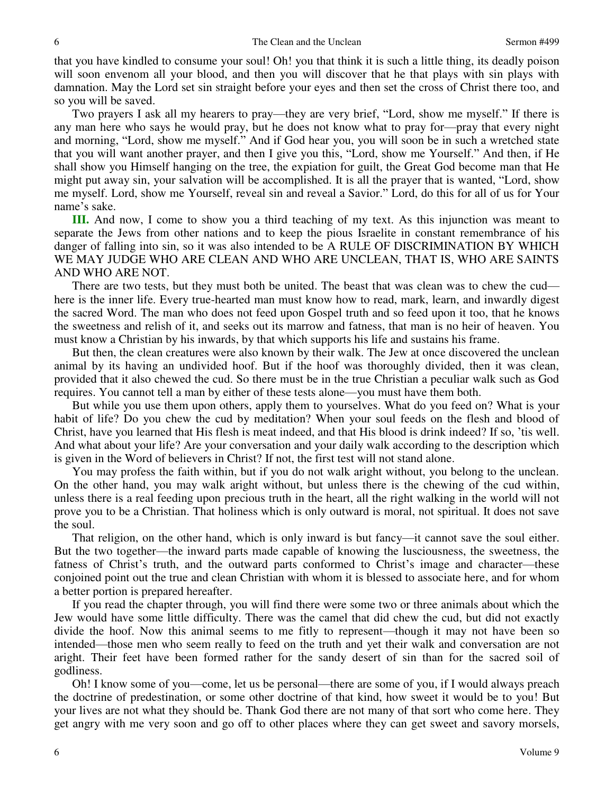that you have kindled to consume your soul! Oh! you that think it is such a little thing, its deadly poison will soon envenom all your blood, and then you will discover that he that plays with sin plays with damnation. May the Lord set sin straight before your eyes and then set the cross of Christ there too, and so you will be saved.

Two prayers I ask all my hearers to pray—they are very brief, "Lord, show me myself." If there is any man here who says he would pray, but he does not know what to pray for—pray that every night and morning, "Lord, show me myself." And if God hear you, you will soon be in such a wretched state that you will want another prayer, and then I give you this, "Lord, show me Yourself." And then, if He shall show you Himself hanging on the tree, the expiation for guilt, the Great God become man that He might put away sin, your salvation will be accomplished. It is all the prayer that is wanted, "Lord, show me myself. Lord, show me Yourself, reveal sin and reveal a Savior." Lord, do this for all of us for Your name's sake.

**III.** And now, I come to show you a third teaching of my text. As this injunction was meant to separate the Jews from other nations and to keep the pious Israelite in constant remembrance of his danger of falling into sin, so it was also intended to be A RULE OF DISCRIMINATION BY WHICH WE MAY JUDGE WHO ARE CLEAN AND WHO ARE UNCLEAN, THAT IS, WHO ARE SAINTS AND WHO ARE NOT.

There are two tests, but they must both be united. The beast that was clean was to chew the cud here is the inner life. Every true-hearted man must know how to read, mark, learn, and inwardly digest the sacred Word. The man who does not feed upon Gospel truth and so feed upon it too, that he knows the sweetness and relish of it, and seeks out its marrow and fatness, that man is no heir of heaven. You must know a Christian by his inwards, by that which supports his life and sustains his frame.

But then, the clean creatures were also known by their walk. The Jew at once discovered the unclean animal by its having an undivided hoof. But if the hoof was thoroughly divided, then it was clean, provided that it also chewed the cud. So there must be in the true Christian a peculiar walk such as God requires. You cannot tell a man by either of these tests alone—you must have them both.

But while you use them upon others, apply them to yourselves. What do you feed on? What is your habit of life? Do you chew the cud by meditation? When your soul feeds on the flesh and blood of Christ, have you learned that His flesh is meat indeed, and that His blood is drink indeed? If so, 'tis well. And what about your life? Are your conversation and your daily walk according to the description which is given in the Word of believers in Christ? If not, the first test will not stand alone.

You may profess the faith within, but if you do not walk aright without, you belong to the unclean. On the other hand, you may walk aright without, but unless there is the chewing of the cud within, unless there is a real feeding upon precious truth in the heart, all the right walking in the world will not prove you to be a Christian. That holiness which is only outward is moral, not spiritual. It does not save the soul.

That religion, on the other hand, which is only inward is but fancy—it cannot save the soul either. But the two together—the inward parts made capable of knowing the lusciousness, the sweetness, the fatness of Christ's truth, and the outward parts conformed to Christ's image and character—these conjoined point out the true and clean Christian with whom it is blessed to associate here, and for whom a better portion is prepared hereafter.

If you read the chapter through, you will find there were some two or three animals about which the Jew would have some little difficulty. There was the camel that did chew the cud, but did not exactly divide the hoof. Now this animal seems to me fitly to represent—though it may not have been so intended—those men who seem really to feed on the truth and yet their walk and conversation are not aright. Their feet have been formed rather for the sandy desert of sin than for the sacred soil of godliness.

Oh! I know some of you—come, let us be personal—there are some of you, if I would always preach the doctrine of predestination, or some other doctrine of that kind, how sweet it would be to you! But your lives are not what they should be. Thank God there are not many of that sort who come here. They get angry with me very soon and go off to other places where they can get sweet and savory morsels,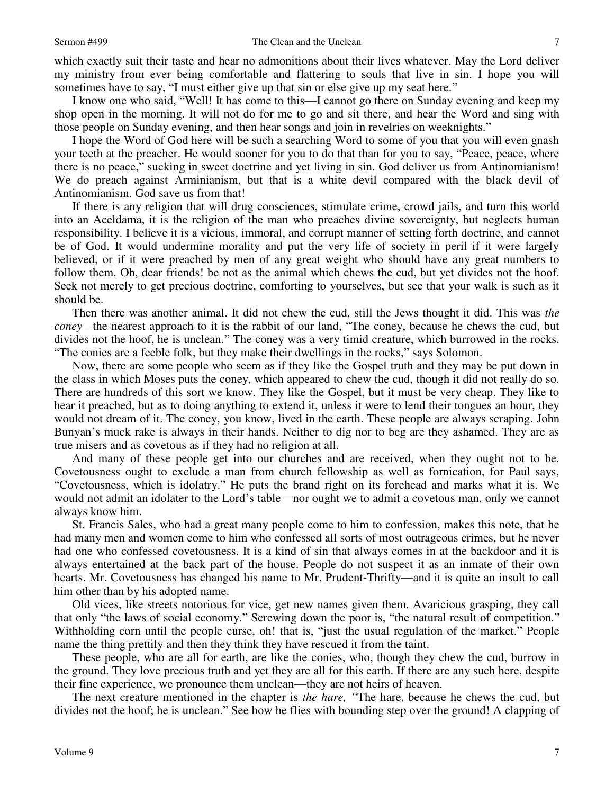which exactly suit their taste and hear no admonitions about their lives whatever. May the Lord deliver my ministry from ever being comfortable and flattering to souls that live in sin. I hope you will sometimes have to say, "I must either give up that sin or else give up my seat here."

I know one who said, "Well! It has come to this—I cannot go there on Sunday evening and keep my shop open in the morning. It will not do for me to go and sit there, and hear the Word and sing with those people on Sunday evening, and then hear songs and join in revelries on weeknights."

I hope the Word of God here will be such a searching Word to some of you that you will even gnash your teeth at the preacher. He would sooner for you to do that than for you to say, "Peace, peace, where there is no peace," sucking in sweet doctrine and yet living in sin. God deliver us from Antinomianism! We do preach against Arminianism, but that is a white devil compared with the black devil of Antinomianism. God save us from that!

If there is any religion that will drug consciences, stimulate crime, crowd jails, and turn this world into an Aceldama, it is the religion of the man who preaches divine sovereignty, but neglects human responsibility. I believe it is a vicious, immoral, and corrupt manner of setting forth doctrine, and cannot be of God. It would undermine morality and put the very life of society in peril if it were largely believed, or if it were preached by men of any great weight who should have any great numbers to follow them. Oh, dear friends! be not as the animal which chews the cud, but yet divides not the hoof. Seek not merely to get precious doctrine, comforting to yourselves, but see that your walk is such as it should be.

Then there was another animal. It did not chew the cud, still the Jews thought it did. This was *the coney*—the nearest approach to it is the rabbit of our land, "The coney, because he chews the cud, but divides not the hoof, he is unclean." The coney was a very timid creature, which burrowed in the rocks. "The conies are a feeble folk, but they make their dwellings in the rocks," says Solomon.

Now, there are some people who seem as if they like the Gospel truth and they may be put down in the class in which Moses puts the coney, which appeared to chew the cud, though it did not really do so. There are hundreds of this sort we know. They like the Gospel, but it must be very cheap. They like to hear it preached, but as to doing anything to extend it, unless it were to lend their tongues an hour, they would not dream of it. The coney, you know, lived in the earth. These people are always scraping. John Bunyan's muck rake is always in their hands. Neither to dig nor to beg are they ashamed. They are as true misers and as covetous as if they had no religion at all.

And many of these people get into our churches and are received, when they ought not to be. Covetousness ought to exclude a man from church fellowship as well as fornication, for Paul says, "Covetousness, which is idolatry." He puts the brand right on its forehead and marks what it is. We would not admit an idolater to the Lord's table—nor ought we to admit a covetous man, only we cannot always know him.

St. Francis Sales, who had a great many people come to him to confession, makes this note, that he had many men and women come to him who confessed all sorts of most outrageous crimes, but he never had one who confessed covetousness. It is a kind of sin that always comes in at the backdoor and it is always entertained at the back part of the house. People do not suspect it as an inmate of their own hearts. Mr. Covetousness has changed his name to Mr. Prudent-Thrifty—and it is quite an insult to call him other than by his adopted name.

Old vices, like streets notorious for vice, get new names given them. Avaricious grasping, they call that only "the laws of social economy." Screwing down the poor is, "the natural result of competition." Withholding corn until the people curse, oh! that is, "just the usual regulation of the market." People name the thing prettily and then they think they have rescued it from the taint.

These people, who are all for earth, are like the conies, who, though they chew the cud, burrow in the ground. They love precious truth and yet they are all for this earth. If there are any such here, despite their fine experience, we pronounce them unclean—they are not heirs of heaven.

The next creature mentioned in the chapter is *the hare, "*The hare, because he chews the cud, but divides not the hoof; he is unclean." See how he flies with bounding step over the ground! A clapping of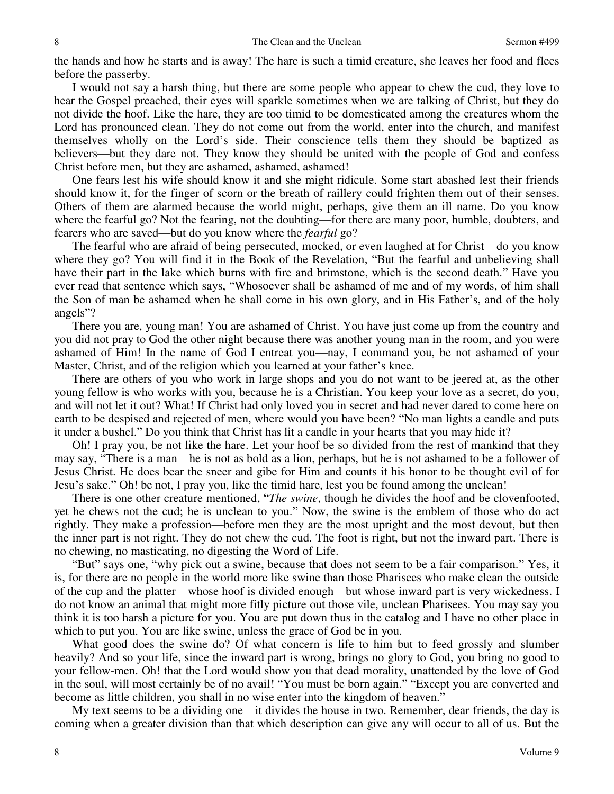the hands and how he starts and is away! The hare is such a timid creature, she leaves her food and flees before the passerby.

I would not say a harsh thing, but there are some people who appear to chew the cud, they love to hear the Gospel preached, their eyes will sparkle sometimes when we are talking of Christ, but they do not divide the hoof. Like the hare, they are too timid to be domesticated among the creatures whom the Lord has pronounced clean. They do not come out from the world, enter into the church, and manifest themselves wholly on the Lord's side. Their conscience tells them they should be baptized as believers—but they dare not. They know they should be united with the people of God and confess Christ before men, but they are ashamed, ashamed, ashamed!

One fears lest his wife should know it and she might ridicule. Some start abashed lest their friends should know it, for the finger of scorn or the breath of raillery could frighten them out of their senses. Others of them are alarmed because the world might, perhaps, give them an ill name. Do you know where the fearful go? Not the fearing, not the doubting—for there are many poor, humble, doubters, and fearers who are saved—but do you know where the *fearful* go?

The fearful who are afraid of being persecuted, mocked, or even laughed at for Christ—do you know where they go? You will find it in the Book of the Revelation, "But the fearful and unbelieving shall have their part in the lake which burns with fire and brimstone, which is the second death." Have you ever read that sentence which says, "Whosoever shall be ashamed of me and of my words, of him shall the Son of man be ashamed when he shall come in his own glory, and in His Father's, and of the holy angels"?

There you are, young man! You are ashamed of Christ. You have just come up from the country and you did not pray to God the other night because there was another young man in the room, and you were ashamed of Him! In the name of God I entreat you—nay, I command you, be not ashamed of your Master, Christ, and of the religion which you learned at your father's knee.

There are others of you who work in large shops and you do not want to be jeered at, as the other young fellow is who works with you, because he is a Christian. You keep your love as a secret, do you, and will not let it out? What! If Christ had only loved you in secret and had never dared to come here on earth to be despised and rejected of men, where would you have been? "No man lights a candle and puts it under a bushel." Do you think that Christ has lit a candle in your hearts that you may hide it?

Oh! I pray you, be not like the hare. Let your hoof be so divided from the rest of mankind that they may say, "There is a man—he is not as bold as a lion, perhaps, but he is not ashamed to be a follower of Jesus Christ. He does bear the sneer and gibe for Him and counts it his honor to be thought evil of for Jesu's sake." Oh! be not, I pray you, like the timid hare, lest you be found among the unclean!

There is one other creature mentioned, "*The swine*, though he divides the hoof and be clovenfooted, yet he chews not the cud; he is unclean to you." Now, the swine is the emblem of those who do act rightly. They make a profession—before men they are the most upright and the most devout, but then the inner part is not right. They do not chew the cud. The foot is right, but not the inward part. There is no chewing, no masticating, no digesting the Word of Life.

"But" says one, "why pick out a swine, because that does not seem to be a fair comparison." Yes, it is, for there are no people in the world more like swine than those Pharisees who make clean the outside of the cup and the platter—whose hoof is divided enough—but whose inward part is very wickedness. I do not know an animal that might more fitly picture out those vile, unclean Pharisees. You may say you think it is too harsh a picture for you. You are put down thus in the catalog and I have no other place in which to put you. You are like swine, unless the grace of God be in you.

What good does the swine do? Of what concern is life to him but to feed grossly and slumber heavily? And so your life, since the inward part is wrong, brings no glory to God, you bring no good to your fellow-men. Oh! that the Lord would show you that dead morality, unattended by the love of God in the soul, will most certainly be of no avail! "You must be born again." "Except you are converted and become as little children, you shall in no wise enter into the kingdom of heaven."

My text seems to be a dividing one—it divides the house in two. Remember, dear friends, the day is coming when a greater division than that which description can give any will occur to all of us. But the

8